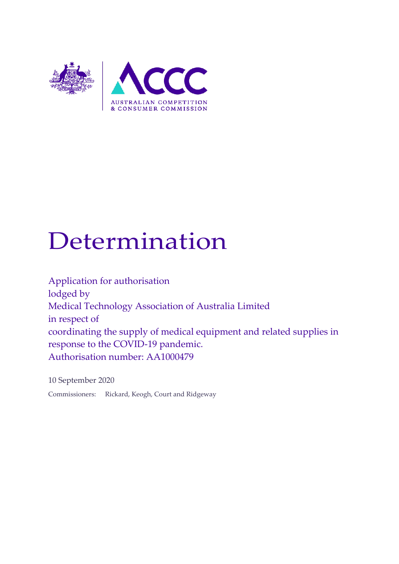

# Determination

Application for authorisation lodged by Medical Technology Association of Australia Limited in respect of coordinating the supply of medical equipment and related supplies in response to the COVID-19 pandemic. Authorisation number: AA1000479

10 September 2020

Commissioners: Rickard, Keogh, Court and Ridgeway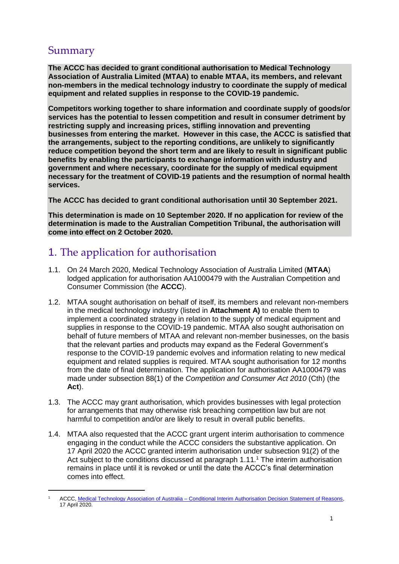# Summary

-

**The ACCC has decided to grant conditional authorisation to Medical Technology Association of Australia Limited (MTAA) to enable MTAA, its members, and relevant non-members in the medical technology industry to coordinate the supply of medical equipment and related supplies in response to the COVID-19 pandemic.**

**Competitors working together to share information and coordinate supply of goods/or services has the potential to lessen competition and result in consumer detriment by restricting supply and increasing prices, stifling innovation and preventing businesses from entering the market. However in this case, the ACCC is satisfied that the arrangements, subject to the reporting conditions, are unlikely to significantly reduce competition beyond the short term and are likely to result in significant public benefits by enabling the participants to exchange information with industry and government and where necessary, coordinate for the supply of medical equipment necessary for the treatment of COVID-19 patients and the resumption of normal health services.**

**The ACCC has decided to grant conditional authorisation until 30 September 2021.**

**This determination is made on 10 September 2020. If no application for review of the determination is made to the Australian Competition Tribunal, the authorisation will come into effect on 2 October 2020.**

# 1. The application for authorisation

- 1.1. On 24 March 2020, Medical Technology Association of Australia Limited (**MTAA**) lodged application for authorisation AA1000479 with the Australian Competition and Consumer Commission (the **ACCC**).
- 1.2. MTAA sought authorisation on behalf of itself, its members and relevant non-members in the medical technology industry (listed in **Attachment A)** to enable them to implement a coordinated strategy in relation to the supply of medical equipment and supplies in response to the COVID-19 pandemic. MTAA also sought authorisation on behalf of future members of MTAA and relevant non-member businesses, on the basis that the relevant parties and products may expand as the Federal Government's response to the COVID-19 pandemic evolves and information relating to new medical equipment and related supplies is required. MTAA sought authorisation for 12 months from the date of final determination. The application for authorisation AA1000479 was made under subsection 88(1) of the *Competition and Consumer Act 2010* (Cth) (the **Act**).
- 1.3. The ACCC may grant authorisation, which provides businesses with legal protection for arrangements that may otherwise risk breaching competition law but are not harmful to competition and/or are likely to result in overall public benefits.
- 1.4. MTAA also requested that the ACCC grant urgent interim authorisation to commence engaging in the conduct while the ACCC considers the substantive application. On 17 April 2020 the ACCC granted interim authorisation under subsection 91(2) of the Act subject to the conditions discussed at paragraph [1.11.](#page-3-0)<sup>1</sup> The interim authorisation remains in place until it is revoked or until the date the ACCC's final determination comes into effect.

<sup>1</sup> ACCC, Medical Technology Association of Australia – [Conditional Interim Authorisation Decision Statement of Reasons,](https://www.accc.gov.au/public-registers/authorisations-and-notifications-registers/authorisations-register/medical-technology-association-of-australia-limited)  17 April 2020.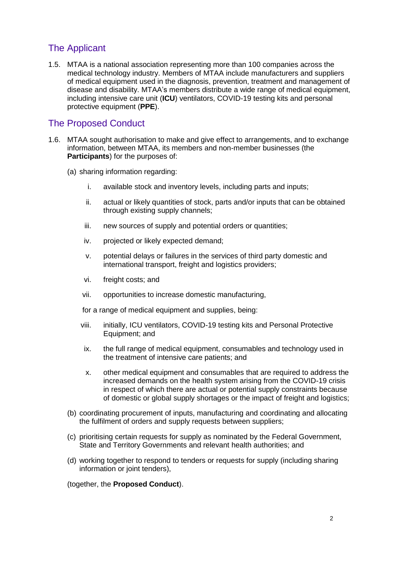# The Applicant

1.5. MTAA is a national association representing more than 100 companies across the medical technology industry. Members of MTAA include manufacturers and suppliers of medical equipment used in the diagnosis, prevention, treatment and management of disease and disability. MTAA's members distribute a wide range of medical equipment, including intensive care unit (**ICU**) ventilators, COVID-19 testing kits and personal protective equipment (**PPE**).

# The Proposed Conduct

- 1.6. MTAA sought authorisation to make and give effect to arrangements, and to exchange information, between MTAA, its members and non-member businesses (the **Participants**) for the purposes of:
	- (a) sharing information regarding:
		- i. available stock and inventory levels, including parts and inputs;
		- ii. actual or likely quantities of stock, parts and/or inputs that can be obtained through existing supply channels;
		- iii. new sources of supply and potential orders or quantities;
		- iv. projected or likely expected demand;
		- v. potential delays or failures in the services of third party domestic and international transport, freight and logistics providers;
		- vi. freight costs; and
		- vii. opportunities to increase domestic manufacturing,

for a range of medical equipment and supplies, being:

- viii. initially, ICU ventilators, COVID-19 testing kits and Personal Protective Equipment; and
- ix. the full range of medical equipment, consumables and technology used in the treatment of intensive care patients; and
- x. other medical equipment and consumables that are required to address the increased demands on the health system arising from the COVID-19 crisis in respect of which there are actual or potential supply constraints because of domestic or global supply shortages or the impact of freight and logistics;
- <span id="page-2-0"></span>(b) coordinating procurement of inputs, manufacturing and coordinating and allocating the fulfilment of orders and supply requests between suppliers;
- (c) prioritising certain requests for supply as nominated by the Federal Government, State and Territory Governments and relevant health authorities; and
- (d) working together to respond to tenders or requests for supply (including sharing information or joint tenders),

(together, the **Proposed Conduct**).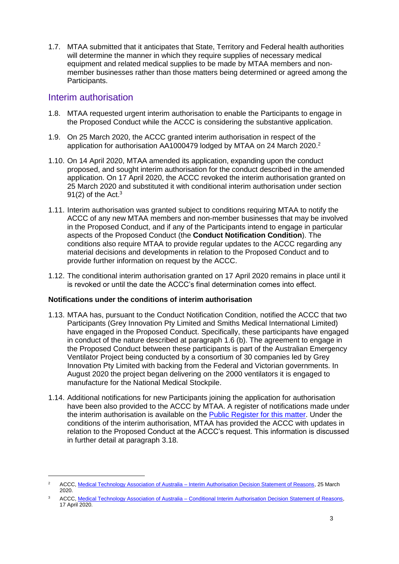1.7. MTAA submitted that it anticipates that State, Territory and Federal health authorities will determine the manner in which they require supplies of necessary medical equipment and related medical supplies to be made by MTAA members and nonmember businesses rather than those matters being determined or agreed among the Participants.

## Interim authorisation

-

- 1.8. MTAA requested urgent interim authorisation to enable the Participants to engage in the Proposed Conduct while the ACCC is considering the substantive application.
- 1.9. On 25 March 2020, the ACCC granted interim authorisation in respect of the application for authorisation AA1000479 lodged by MTAA on 24 March 2020.<sup>2</sup>
- 1.10. On 14 April 2020, MTAA amended its application, expanding upon the conduct proposed, and sought interim authorisation for the conduct described in the amended application. On 17 April 2020, the ACCC revoked the interim authorisation granted on 25 March 2020 and substituted it with conditional interim authorisation under section 91(2) of the Act. $3$
- <span id="page-3-0"></span>1.11. Interim authorisation was granted subject to conditions requiring MTAA to notify the ACCC of any new MTAA members and non-member businesses that may be involved in the Proposed Conduct, and if any of the Participants intend to engage in particular aspects of the Proposed Conduct (the **Conduct Notification Condition**). The conditions also require MTAA to provide regular updates to the ACCC regarding any material decisions and developments in relation to the Proposed Conduct and to provide further information on request by the ACCC.
- 1.12. The conditional interim authorisation granted on 17 April 2020 remains in place until it is revoked or until the date the ACCC's final determination comes into effect.

#### **Notifications under the conditions of interim authorisation**

- 1.13. MTAA has, pursuant to the Conduct Notification Condition, notified the ACCC that two Participants (Grey Innovation Pty Limited and Smiths Medical International Limited) have engaged in the Proposed Conduct. Specifically, these participants have engaged in conduct of the nature described at paragraph 1.6 [\(b\).](#page-2-0) The agreement to engage in the Proposed Conduct between these participants is part of the Australian Emergency Ventilator Project being conducted by a consortium of 30 companies led by Grey Innovation Pty Limited with backing from the Federal and Victorian governments. In August 2020 the project began delivering on the 2000 ventilators it is engaged to manufacture for the National Medical Stockpile.
- 1.14. Additional notifications for new Participants joining the application for authorisation have been also provided to the ACCC by MTAA. A register of notifications made under the interim authorisation is available on the Public [Register for this matter.](https://www.accc.gov.au/public-registers/authorisations-and-notifications-registers/authorisations-register/medical-technology-association-of-australia-limited) Under the conditions of the interim authorisation, MTAA has provided the ACCC with updates in relation to the Proposed Conduct at the ACCC's request. This information is discussed in further detail at paragraph [3.18.](#page-7-0)

<sup>&</sup>lt;sup>2</sup> ACCC, Medical Technology Association of Australia – [Interim Authorisation Decision Statement of Reasons,](https://www.accc.gov.au/public-registers/authorisations-and-notifications-registers/authorisations-register/medical-technology-association-of-australia-limited) 25 March 2020.

<sup>&</sup>lt;sup>3</sup> ACCC, Medical Technology Association of Australia – Conditional Interim Authorisation Decision Statement of Reasons, 17 April 2020.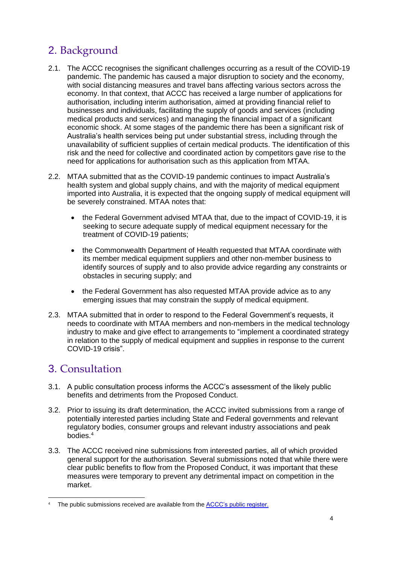# 2. Background

- 2.1. The ACCC recognises the significant challenges occurring as a result of the COVID-19 pandemic. The pandemic has caused a major disruption to society and the economy, with social distancing measures and travel bans affecting various sectors across the economy. In that context, that ACCC has received a large number of applications for authorisation, including interim authorisation, aimed at providing financial relief to businesses and individuals, facilitating the supply of goods and services (including medical products and services) and managing the financial impact of a significant economic shock. At some stages of the pandemic there has been a significant risk of Australia's health services being put under substantial stress, including through the unavailability of sufficient supplies of certain medical products. The identification of this risk and the need for collective and coordinated action by competitors gave rise to the need for applications for authorisation such as this application from MTAA.
- 2.2. MTAA submitted that as the COVID-19 pandemic continues to impact Australia's health system and global supply chains, and with the majority of medical equipment imported into Australia, it is expected that the ongoing supply of medical equipment will be severely constrained. MTAA notes that:
	- the Federal Government advised MTAA that, due to the impact of COVID-19, it is seeking to secure adequate supply of medical equipment necessary for the treatment of COVID-19 patients;
	- the Commonwealth Department of Health requested that MTAA coordinate with its member medical equipment suppliers and other non-member business to identify sources of supply and to also provide advice regarding any constraints or obstacles in securing supply; and
	- the Federal Government has also requested MTAA provide advice as to any emerging issues that may constrain the supply of medical equipment.
- 2.3. MTAA submitted that in order to respond to the Federal Government's requests, it needs to coordinate with MTAA members and non-members in the medical technology industry to make and give effect to arrangements to "implement a coordinated strategy in relation to the supply of medical equipment and supplies in response to the current COVID-19 crisis".

# 3. Consultation

- 3.1. A public consultation process informs the ACCC's assessment of the likely public benefits and detriments from the Proposed Conduct.
- 3.2. Prior to issuing its draft determination, the ACCC invited submissions from a range of potentially interested parties including State and Federal governments and relevant regulatory bodies, consumer groups and relevant industry associations and peak bodies. 4
- 3.3. The ACCC received nine submissions from interested parties, all of which provided general support for the authorisation. Several submissions noted that while there were clear public benefits to flow from the Proposed Conduct, it was important that these measures were temporary to prevent any detrimental impact on competition in the market.

<sup>&</sup>lt;sup>4</sup> The public submissions received are available from the [ACCC's public register.](https://www.accc.gov.au/public-registers/authorisations-and-notifications-registers/authorisations-register/medical-technology-association-of-australia-limited)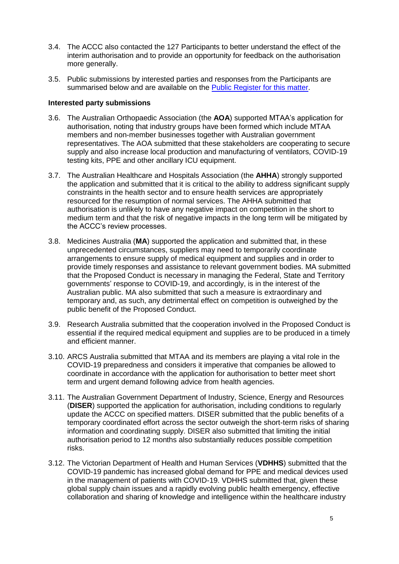- 3.4. The ACCC also contacted the 127 Participants to better understand the effect of the interim authorisation and to provide an opportunity for feedback on the authorisation more generally.
- 3.5. Public submissions by interested parties and responses from the Participants are summarised below and are available on the [Public Register for this matter.](https://www.accc.gov.au/public-registers/authorisations-and-notifications-registers/authorisations-register/medical-technology-association-of-australia-limited)

#### **Interested party submissions**

- 3.6. The Australian Orthopaedic Association (the **AOA**) supported MTAA's application for authorisation, noting that industry groups have been formed which include MTAA members and non-member businesses together with Australian government representatives. The AOA submitted that these stakeholders are cooperating to secure supply and also increase local production and manufacturing of ventilators, COVID-19 testing kits, PPE and other ancillary ICU equipment.
- 3.7. The Australian Healthcare and Hospitals Association (the **AHHA**) strongly supported the application and submitted that it is critical to the ability to address significant supply constraints in the health sector and to ensure health services are appropriately resourced for the resumption of normal services. The AHHA submitted that authorisation is unlikely to have any negative impact on competition in the short to medium term and that the risk of negative impacts in the long term will be mitigated by the ACCC's review processes.
- 3.8. Medicines Australia (**MA**) supported the application and submitted that, in these unprecedented circumstances, suppliers may need to temporarily coordinate arrangements to ensure supply of medical equipment and supplies and in order to provide timely responses and assistance to relevant government bodies. MA submitted that the Proposed Conduct is necessary in managing the Federal, State and Territory governments' response to COVID-19, and accordingly, is in the interest of the Australian public. MA also submitted that such a measure is extraordinary and temporary and, as such, any detrimental effect on competition is outweighed by the public benefit of the Proposed Conduct.
- 3.9. Research Australia submitted that the cooperation involved in the Proposed Conduct is essential if the required medical equipment and supplies are to be produced in a timely and efficient manner.
- 3.10. ARCS Australia submitted that MTAA and its members are playing a vital role in the COVID-19 preparedness and considers it imperative that companies be allowed to coordinate in accordance with the application for authorisation to better meet short term and urgent demand following advice from health agencies.
- 3.11. The Australian Government Department of Industry, Science, Energy and Resources (**DISER**) supported the application for authorisation, including conditions to regularly update the ACCC on specified matters. DISER submitted that the public benefits of a temporary coordinated effort across the sector outweigh the short-term risks of sharing information and coordinating supply. DISER also submitted that limiting the initial authorisation period to 12 months also substantially reduces possible competition risks.
- 3.12. The Victorian Department of Health and Human Services (**VDHHS**) submitted that the COVID-19 pandemic has increased global demand for PPE and medical devices used in the management of patients with COVID-19. VDHHS submitted that, given these global supply chain issues and a rapidly evolving public health emergency, effective collaboration and sharing of knowledge and intelligence within the healthcare industry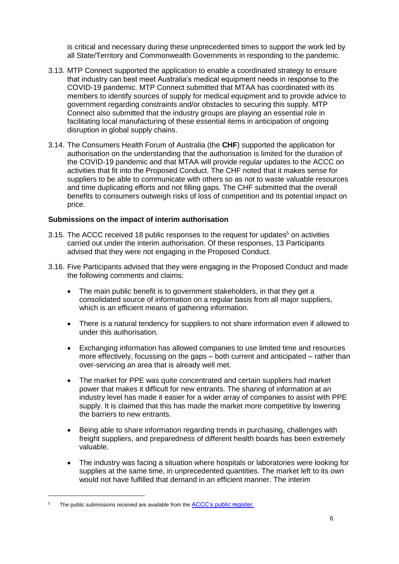is critical and necessary during these unprecedented times to support the work led by all State/Territory and Commonwealth Governments in responding to the pandemic.

- 3.13. MTP Connect supported the application to enable a coordinated strategy to ensure that industry can best meet Australia's medical equipment needs in response to the COVID-19 pandemic. MTP Connect submitted that MTAA has coordinated with its members to identify sources of supply for medical equipment and to provide advice to government regarding constraints and/or obstacles to securing this supply. MTP Connect also submitted that the industry groups are playing an essential role in facilitating local manufacturing of these essential items in anticipation of ongoing disruption in global supply chains.
- 3.14. The Consumers Health Forum of Australia (the **CHF**) supported the application for authorisation on the understanding that the authorisation is limited for the duration of the COVID-19 pandemic and that MTAA will provide regular updates to the ACCC on activities that fit into the Proposed Conduct. The CHF noted that it makes sense for suppliers to be able to communicate with others so as not to waste valuable resources and time duplicating efforts and not filling gaps. The CHF submitted that the overall benefits to consumers outweigh risks of loss of competition and its potential impact on price.

#### **Submissions on the impact of interim authorisation**

- 3.15. The ACCC received 18 public responses to the request for updates<sup>5</sup> on activities carried out under the interim authorisation. Of these responses, 13 Participants advised that they were not engaging in the Proposed Conduct.
- 3.16. Five Participants advised that they were engaging in the Proposed Conduct and made the following comments and claims:
	- The main public benefit is to government stakeholders, in that they get a consolidated source of information on a regular basis from all major suppliers, which is an efficient means of gathering information.
	- There is a natural tendency for suppliers to not share information even if allowed to under this authorisation.
	- Exchanging information has allowed companies to use limited time and resources more effectively, focussing on the gaps – both current and anticipated – rather than over-servicing an area that is already well met.
	- The market for PPE was quite concentrated and certain suppliers had market power that makes it difficult for new entrants. The sharing of information at an industry level has made it easier for a wider array of companies to assist with PPE supply. It is claimed that this has made the market more competitive by lowering the barriers to new entrants.
	- Being able to share information regarding trends in purchasing, challenges with freight suppliers, and preparedness of different health boards has been extremely valuable.
	- The industry was facing a situation where hospitals or laboratories were looking for supplies at the same time, in unprecedented quantities. The market left to its own would not have fulfilled that demand in an efficient manner. The interim

The public submissions received are available from the [ACCC's public register.](https://www.accc.gov.au/public-registers/authorisations-and-notifications-registers/authorisations-register/medical-technology-association-of-australia-limited)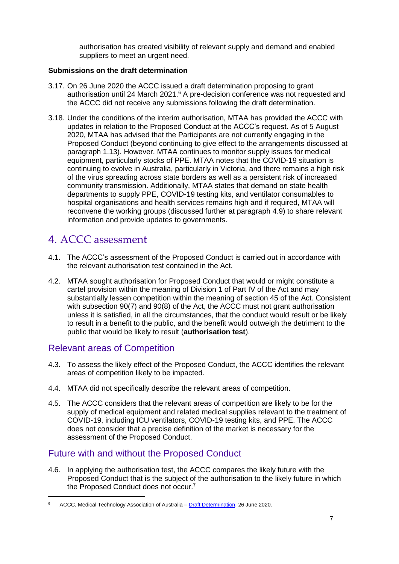authorisation has created visibility of relevant supply and demand and enabled suppliers to meet an urgent need.

#### **Submissions on the draft determination**

- 3.17. On 26 June 2020 the ACCC issued a draft determination proposing to grant authorisation until 24 March 2021.<sup>6</sup> A pre-decision conference was not requested and the ACCC did not receive any submissions following the draft determination.
- <span id="page-7-0"></span>3.18. Under the conditions of the interim authorisation, MTAA has provided the ACCC with updates in relation to the Proposed Conduct at the ACCC's request. As of 5 August 2020, MTAA has advised that the Participants are not currently engaging in the Proposed Conduct (beyond continuing to give effect to the arrangements discussed at paragraph 1.13). However, MTAA continues to monitor supply issues for medical equipment, particularly stocks of PPE. MTAA notes that the COVID-19 situation is continuing to evolve in Australia, particularly in Victoria, and there remains a high risk of the virus spreading across state borders as well as a persistent risk of increased community transmission. Additionally, MTAA states that demand on state health departments to supply PPE, COVID-19 testing kits, and ventilator consumables to hospital organisations and health services remains high and if required, MTAA will reconvene the working groups (discussed further at paragraph [4.9\)](#page-8-0) to share relevant information and provide updates to governments.

# 4. ACCC assessment

- 4.1. The ACCC's assessment of the Proposed Conduct is carried out in accordance with the relevant authorisation test contained in the Act.
- 4.2. MTAA sought authorisation for Proposed Conduct that would or might constitute a cartel provision within the meaning of Division 1 of Part IV of the Act and may substantially lessen competition within the meaning of section 45 of the Act. Consistent with subsection 90(7) and 90(8) of the Act, the ACCC must not grant authorisation unless it is satisfied, in all the circumstances, that the conduct would result or be likely to result in a benefit to the public, and the benefit would outweigh the detriment to the public that would be likely to result (**authorisation test**).

# Relevant areas of Competition

-

- 4.3. To assess the likely effect of the Proposed Conduct, the ACCC identifies the relevant areas of competition likely to be impacted.
- 4.4. MTAA did not specifically describe the relevant areas of competition.
- 4.5. The ACCC considers that the relevant areas of competition are likely to be for the supply of medical equipment and related medical supplies relevant to the treatment of COVID-19, including ICU ventilators, COVID-19 testing kits, and PPE. The ACCC does not consider that a precise definition of the market is necessary for the assessment of the Proposed Conduct.

# Future with and without the Proposed Conduct

4.6. In applying the authorisation test, the ACCC compares the likely future with the Proposed Conduct that is the subject of the authorisation to the likely future in which the Proposed Conduct does not occur.<sup>7</sup>

<sup>&</sup>lt;sup>6</sup> ACCC, Medical Technology Association of Australia – [Draft Determination,](https://www.accc.gov.au/public-registers/authorisations-and-notifications-registers/authorisations-register/medical-technology-association-of-australia-limited) 26 June 2020.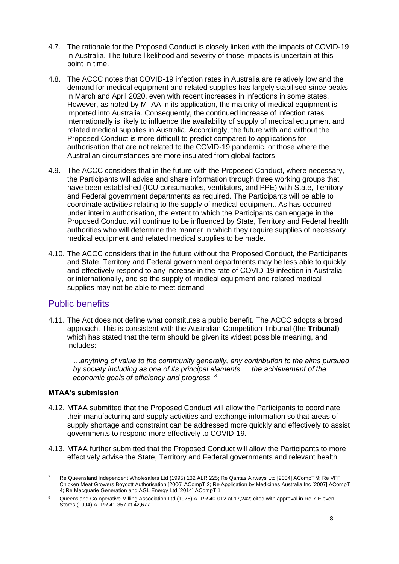- 4.7. The rationale for the Proposed Conduct is closely linked with the impacts of COVID-19 in Australia. The future likelihood and severity of those impacts is uncertain at this point in time.
- <span id="page-8-1"></span>4.8. The ACCC notes that COVID-19 infection rates in Australia are relatively low and the demand for medical equipment and related supplies has largely stabilised since peaks in March and April 2020, even with recent increases in infections in some states. However, as noted by MTAA in its application, the majority of medical equipment is imported into Australia. Consequently, the continued increase of infection rates internationally is likely to influence the availability of supply of medical equipment and related medical supplies in Australia. Accordingly, the future with and without the Proposed Conduct is more difficult to predict compared to applications for authorisation that are not related to the COVID-19 pandemic, or those where the Australian circumstances are more insulated from global factors.
- <span id="page-8-0"></span>4.9. The ACCC considers that in the future with the Proposed Conduct, where necessary, the Participants will advise and share information through three working groups that have been established (ICU consumables, ventilators, and PPE) with State, Territory and Federal government departments as required. The Participants will be able to coordinate activities relating to the supply of medical equipment. As has occurred under interim authorisation, the extent to which the Participants can engage in the Proposed Conduct will continue to be influenced by State, Territory and Federal health authorities who will determine the manner in which they require supplies of necessary medical equipment and related medical supplies to be made.
- 4.10. The ACCC considers that in the future without the Proposed Conduct, the Participants and State, Territory and Federal government departments may be less able to quickly and effectively respond to any increase in the rate of COVID-19 infection in Australia or internationally, and so the supply of medical equipment and related medical supplies may not be able to meet demand.

# Public benefits

4.11. The Act does not define what constitutes a public benefit. The ACCC adopts a broad approach. This is consistent with the Australian Competition Tribunal (the **Tribunal**) which has stated that the term should be given its widest possible meaning, and includes:

*…anything of value to the community generally, any contribution to the aims pursued by society including as one of its principal elements … the achievement of the economic goals of efficiency and progress. <sup>8</sup>*

#### **MTAA's submission**

- 4.12. MTAA submitted that the Proposed Conduct will allow the Participants to coordinate their manufacturing and supply activities and exchange information so that areas of supply shortage and constraint can be addressed more quickly and effectively to assist governments to respond more effectively to COVID-19.
- 4.13. MTAA further submitted that the Proposed Conduct will allow the Participants to more effectively advise the State, Territory and Federal governments and relevant health

<sup>7</sup> Re Queensland Independent Wholesalers Ltd (1995) 132 ALR 225; Re Qantas Airways Ltd [2004] ACompT 9; Re VFF Chicken Meat Growers Boycott Authorisation [2006] ACompT 2; Re Application by Medicines Australia Inc [2007] ACompT 4; Re Macquarie Generation and AGL Energy Ltd [2014] ACompT 1.

<sup>&</sup>lt;sup>8</sup> Queensland Co-operative Milling Association Ltd (1976) ATPR 40-012 at 17,242; cited with approval in Re 7-Eleven Stores (1994) ATPR 41-357 at 42,677.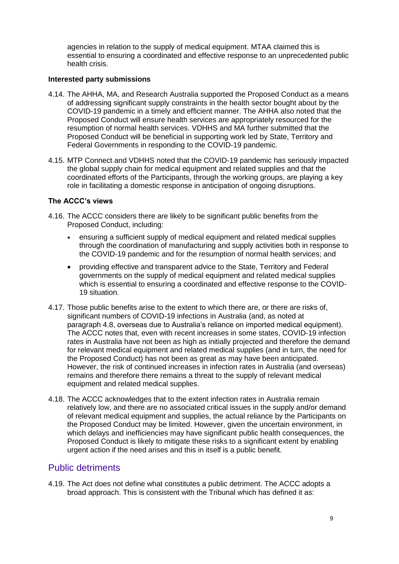agencies in relation to the supply of medical equipment. MTAA claimed this is essential to ensuring a coordinated and effective response to an unprecedented public health crisis.

#### **Interested party submissions**

- 4.14. The AHHA, MA, and Research Australia supported the Proposed Conduct as a means of addressing significant supply constraints in the health sector bought about by the COVID-19 pandemic in a timely and efficient manner. The AHHA also noted that the Proposed Conduct will ensure health services are appropriately resourced for the resumption of normal health services. VDHHS and MA further submitted that the Proposed Conduct will be beneficial in supporting work led by State, Territory and Federal Governments in responding to the COVID-19 pandemic.
- 4.15. MTP Connect and VDHHS noted that the COVID-19 pandemic has seriously impacted the global supply chain for medical equipment and related supplies and that the coordinated efforts of the Participants, through the working groups, are playing a key role in facilitating a domestic response in anticipation of ongoing disruptions.

#### **The ACCC's views**

- 4.16. The ACCC considers there are likely to be significant public benefits from the Proposed Conduct, including:
	- ensuring a sufficient supply of medical equipment and related medical supplies through the coordination of manufacturing and supply activities both in response to the COVID-19 pandemic and for the resumption of normal health services; and
	- providing effective and transparent advice to the State, Territory and Federal governments on the supply of medical equipment and related medical supplies which is essential to ensuring a coordinated and effective response to the COVID-19 situation.
- 4.17. Those public benefits arise to the extent to which there are, or there are risks of, significant numbers of COVID-19 infections in Australia (and, as noted at paragraph [4.8,](#page-8-1) overseas due to Australia's reliance on imported medical equipment). The ACCC notes that, even with recent increases in some states, COVID-19 infection rates in Australia have not been as high as initially projected and therefore the demand for relevant medical equipment and related medical supplies (and in turn, the need for the Proposed Conduct) has not been as great as may have been anticipated. However, the risk of continued increases in infection rates in Australia (and overseas) remains and therefore there remains a threat to the supply of relevant medical equipment and related medical supplies.
- 4.18. The ACCC acknowledges that to the extent infection rates in Australia remain relatively low, and there are no associated critical issues in the supply and/or demand of relevant medical equipment and supplies, the actual reliance by the Participants on the Proposed Conduct may be limited. However, given the uncertain environment, in which delays and inefficiencies may have significant public health consequences, the Proposed Conduct is likely to mitigate these risks to a significant extent by enabling urgent action if the need arises and this in itself is a public benefit.

## Public detriments

4.19. The Act does not define what constitutes a public detriment. The ACCC adopts a broad approach. This is consistent with the Tribunal which has defined it as: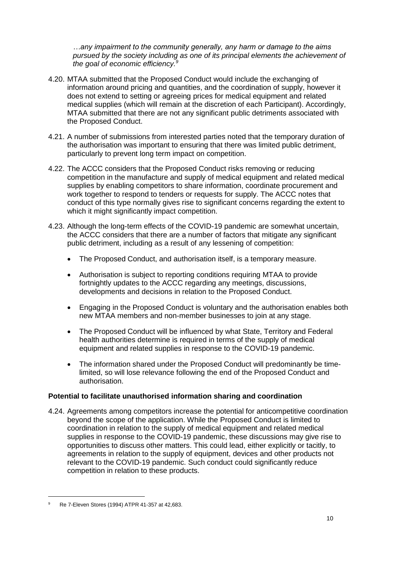*…any impairment to the community generally, any harm or damage to the aims pursued by the society including as one of its principal elements the achievement of the goal of economic efficiency.<sup>9</sup>*

- 4.20. MTAA submitted that the Proposed Conduct would include the exchanging of information around pricing and quantities, and the coordination of supply, however it does not extend to setting or agreeing prices for medical equipment and related medical supplies (which will remain at the discretion of each Participant). Accordingly, MTAA submitted that there are not any significant public detriments associated with the Proposed Conduct.
- 4.21. A number of submissions from interested parties noted that the temporary duration of the authorisation was important to ensuring that there was limited public detriment, particularly to prevent long term impact on competition.
- 4.22. The ACCC considers that the Proposed Conduct risks removing or reducing competition in the manufacture and supply of medical equipment and related medical supplies by enabling competitors to share information, coordinate procurement and work together to respond to tenders or requests for supply. The ACCC notes that conduct of this type normally gives rise to significant concerns regarding the extent to which it might significantly impact competition.
- 4.23. Although the long-term effects of the COVID-19 pandemic are somewhat uncertain, the ACCC considers that there are a number of factors that mitigate any significant public detriment, including as a result of any lessening of competition:
	- The Proposed Conduct, and authorisation itself, is a temporary measure.
	- Authorisation is subject to reporting conditions requiring MTAA to provide fortnightly updates to the ACCC regarding any meetings, discussions, developments and decisions in relation to the Proposed Conduct.
	- Engaging in the Proposed Conduct is voluntary and the authorisation enables both new MTAA members and non-member businesses to join at any stage.
	- The Proposed Conduct will be influenced by what State, Territory and Federal health authorities determine is required in terms of the supply of medical equipment and related supplies in response to the COVID-19 pandemic.
	- The information shared under the Proposed Conduct will predominantly be timelimited, so will lose relevance following the end of the Proposed Conduct and authorisation.

#### **Potential to facilitate unauthorised information sharing and coordination**

4.24. Agreements among competitors increase the potential for anticompetitive coordination beyond the scope of the application. While the Proposed Conduct is limited to coordination in relation to the supply of medical equipment and related medical supplies in response to the COVID-19 pandemic, these discussions may give rise to opportunities to discuss other matters. This could lead, either explicitly or tacitly, to agreements in relation to the supply of equipment, devices and other products not relevant to the COVID-19 pandemic. Such conduct could significantly reduce competition in relation to these products.

<sup>9</sup> Re 7-Eleven Stores (1994) ATPR 41-357 at 42,683.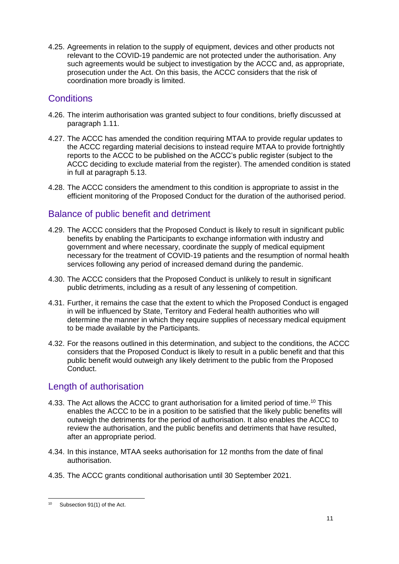4.25. Agreements in relation to the supply of equipment, devices and other products not relevant to the COVID-19 pandemic are not protected under the authorisation. Any such agreements would be subject to investigation by the ACCC and, as appropriate, prosecution under the Act. On this basis, the ACCC considers that the risk of coordination more broadly is limited.

# **Conditions**

- 4.26. The interim authorisation was granted subject to four conditions, briefly discussed at paragraph [1.11.](#page-3-0)
- 4.27. The ACCC has amended the condition requiring MTAA to provide regular updates to the ACCC regarding material decisions to instead require MTAA to provide fortnightly reports to the ACCC to be published on the ACCC's public register (subject to the ACCC deciding to exclude material from the register). The amended condition is stated in full at paragraph [5.13.](#page-13-0)
- 4.28. The ACCC considers the amendment to this condition is appropriate to assist in the efficient monitoring of the Proposed Conduct for the duration of the authorised period.

# Balance of public benefit and detriment

- 4.29. The ACCC considers that the Proposed Conduct is likely to result in significant public benefits by enabling the Participants to exchange information with industry and government and where necessary, coordinate the supply of medical equipment necessary for the treatment of COVID-19 patients and the resumption of normal health services following any period of increased demand during the pandemic.
- 4.30. The ACCC considers that the Proposed Conduct is unlikely to result in significant public detriments, including as a result of any lessening of competition.
- 4.31. Further, it remains the case that the extent to which the Proposed Conduct is engaged in will be influenced by State, Territory and Federal health authorities who will determine the manner in which they require supplies of necessary medical equipment to be made available by the Participants.
- 4.32. For the reasons outlined in this determination, and subject to the conditions, the ACCC considers that the Proposed Conduct is likely to result in a public benefit and that this public benefit would outweigh any likely detriment to the public from the Proposed Conduct.

# Length of authorisation

- 4.33. The Act allows the ACCC to grant authorisation for a limited period of time.<sup>10</sup> This enables the ACCC to be in a position to be satisfied that the likely public benefits will outweigh the detriments for the period of authorisation. It also enables the ACCC to review the authorisation, and the public benefits and detriments that have resulted, after an appropriate period.
- 4.34. In this instance, MTAA seeks authorisation for 12 months from the date of final authorisation.
- 4.35. The ACCC grants conditional authorisation until 30 September 2021.

<sup>-</sup> $10$  Subsection 91(1) of the Act.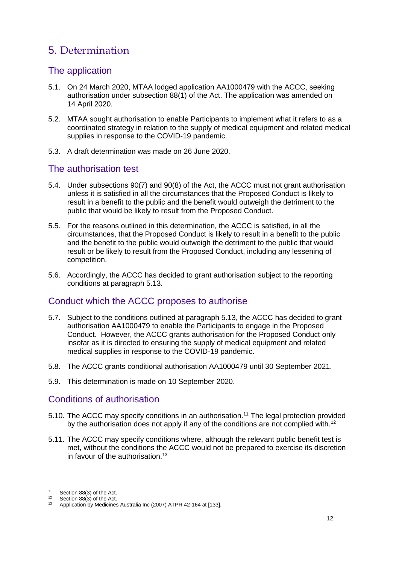# 5. Determination

# The application

- 5.1. On 24 March 2020, MTAA lodged application AA1000479 with the ACCC, seeking authorisation under subsection 88(1) of the Act. The application was amended on 14 April 2020.
- 5.2. MTAA sought authorisation to enable Participants to implement what it refers to as a coordinated strategy in relation to the supply of medical equipment and related medical supplies in response to the COVID-19 pandemic.
- 5.3. A draft determination was made on 26 June 2020.

# The authorisation test

- 5.4. Under subsections 90(7) and 90(8) of the Act, the ACCC must not grant authorisation unless it is satisfied in all the circumstances that the Proposed Conduct is likely to result in a benefit to the public and the benefit would outweigh the detriment to the public that would be likely to result from the Proposed Conduct.
- 5.5. For the reasons outlined in this determination, the ACCC is satisfied, in all the circumstances, that the Proposed Conduct is likely to result in a benefit to the public and the benefit to the public would outweigh the detriment to the public that would result or be likely to result from the Proposed Conduct, including any lessening of competition.
- 5.6. Accordingly, the ACCC has decided to grant authorisation subject to the reporting conditions at paragraph [5.13.](#page-13-0)

# Conduct which the ACCC proposes to authorise

- 5.7. Subject to the conditions outlined at paragraph [5.13,](#page-13-0) the ACCC has decided to grant authorisation AA1000479 to enable the Participants to engage in the Proposed Conduct. However, the ACCC grants authorisation for the Proposed Conduct only insofar as it is directed to ensuring the supply of medical equipment and related medical supplies in response to the COVID-19 pandemic.
- 5.8. The ACCC grants conditional authorisation AA1000479 until 30 September 2021.
- 5.9. This determination is made on 10 September 2020.

## Conditions of authorisation

- 5.10. The ACCC may specify conditions in an authorisation.<sup>11</sup> The legal protection provided by the authorisation does not apply if any of the conditions are not complied with.<sup>12</sup>
- 5.11. The ACCC may specify conditions where, although the relevant public benefit test is met, without the conditions the ACCC would not be prepared to exercise its discretion in favour of the authorisation.<sup>13</sup>

<sup>11</sup> Section 88(3) of the Act.

<sup>12</sup> Section 88(3) of the Act.

<sup>&</sup>lt;sup>13</sup> Application by Medicines Australia Inc (2007) ATPR 42-164 at [133].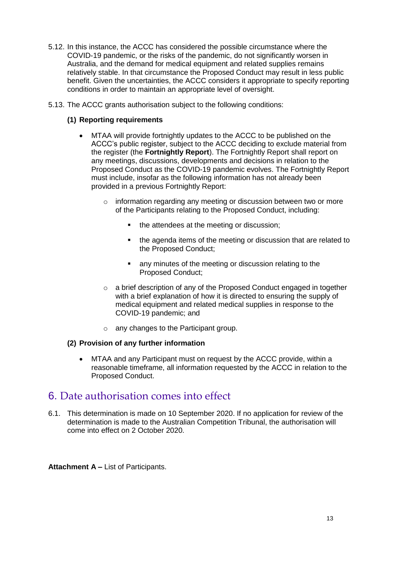- 5.12. In this instance, the ACCC has considered the possible circumstance where the COVID-19 pandemic, or the risks of the pandemic, do not significantly worsen in Australia, and the demand for medical equipment and related supplies remains relatively stable. In that circumstance the Proposed Conduct may result in less public benefit. Given the uncertainties, the ACCC considers it appropriate to specify reporting conditions in order to maintain an appropriate level of oversight.
- <span id="page-13-0"></span>5.13. The ACCC grants authorisation subject to the following conditions:

#### **(1) Reporting requirements**

- MTAA will provide fortnightly updates to the ACCC to be published on the ACCC's public register, subject to the ACCC deciding to exclude material from the register (the **Fortnightly Report**). The Fortnightly Report shall report on any meetings, discussions, developments and decisions in relation to the Proposed Conduct as the COVID-19 pandemic evolves. The Fortnightly Report must include, insofar as the following information has not already been provided in a previous Fortnightly Report:
	- o information regarding any meeting or discussion between two or more of the Participants relating to the Proposed Conduct, including:
		- the attendees at the meeting or discussion:
		- the agenda items of the meeting or discussion that are related to the Proposed Conduct;
		- **EXECT** any minutes of the meeting or discussion relating to the Proposed Conduct;
	- $\circ$  a brief description of any of the Proposed Conduct engaged in together with a brief explanation of how it is directed to ensuring the supply of medical equipment and related medical supplies in response to the COVID-19 pandemic; and
	- o any changes to the Participant group.

#### **(2) Provision of any further information**

 MTAA and any Participant must on request by the ACCC provide, within a reasonable timeframe, all information requested by the ACCC in relation to the Proposed Conduct.

# 6. Date authorisation comes into effect

6.1. This determination is made on 10 September 2020. If no application for review of the determination is made to the Australian Competition Tribunal, the authorisation will come into effect on 2 October 2020.

**Attachment A –** List of Participants.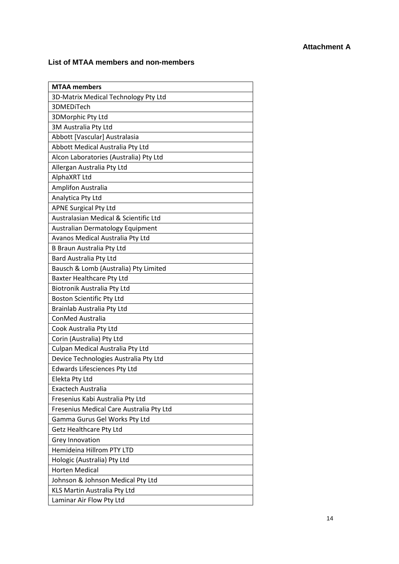#### **Attachment A**

#### **List of MTAA members and non-members**

| <b>MTAA</b> members                      |
|------------------------------------------|
| 3D-Matrix Medical Technology Pty Ltd     |
| 3DMEDiTech                               |
| 3DMorphic Pty Ltd                        |
| 3M Australia Pty Ltd                     |
| Abbott [Vascular] Australasia            |
| Abbott Medical Australia Pty Ltd         |
| Alcon Laboratories (Australia) Pty Ltd   |
| Allergan Australia Pty Ltd               |
| AlphaXRT Ltd                             |
| Amplifon Australia                       |
| Analytica Pty Ltd                        |
| <b>APNE Surgical Pty Ltd</b>             |
| Australasian Medical & Scientific Ltd    |
| Australian Dermatology Equipment         |
| Avanos Medical Australia Pty Ltd         |
| B Braun Australia Pty Ltd                |
| Bard Australia Pty Ltd                   |
| Bausch & Lomb (Australia) Pty Limited    |
| <b>Baxter Healthcare Pty Ltd</b>         |
| Biotronik Australia Pty Ltd              |
| <b>Boston Scientific Pty Ltd</b>         |
| Brainlab Australia Pty Ltd               |
| ConMed Australia                         |
| Cook Australia Pty Ltd                   |
| Corin (Australia) Pty Ltd                |
| Culpan Medical Australia Pty Ltd         |
| Device Technologies Australia Pty Ltd    |
| <b>Edwards Lifesciences Pty Ltd</b>      |
| Elekta Pty Ltd                           |
| Exactech Australia                       |
| Fresenius Kabi Australia Pty Ltd         |
| Fresenius Medical Care Australia Pty Ltd |
| Gamma Gurus Gel Works Pty Ltd            |
| <b>Getz Healthcare Pty Ltd</b>           |
| Grey Innovation                          |
| Hemideina Hillrom PTY LTD                |
| Hologic (Australia) Pty Ltd              |
| <b>Horten Medical</b>                    |
| Johnson & Johnson Medical Pty Ltd        |
| KLS Martin Australia Pty Ltd             |
| Laminar Air Flow Pty Ltd                 |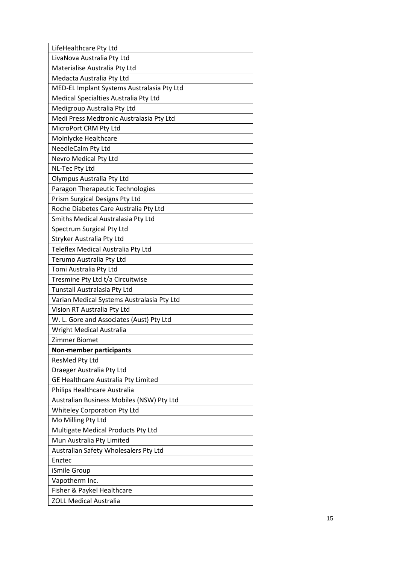| LifeHealthcare Pty Ltd                     |
|--------------------------------------------|
| LivaNova Australia Pty Ltd                 |
| Materialise Australia Pty Ltd              |
| Medacta Australia Pty Ltd                  |
| MED-EL Implant Systems Australasia Pty Ltd |
| Medical Specialties Australia Pty Ltd      |
| Medigroup Australia Pty Ltd                |
| Medi Press Medtronic Australasia Pty Ltd   |
| MicroPort CRM Pty Ltd                      |
| Molnlycke Healthcare                       |
| NeedleCalm Pty Ltd                         |
| Nevro Medical Pty Ltd                      |
| NL-Tec Pty Ltd                             |
| Olympus Australia Pty Ltd                  |
| Paragon Therapeutic Technologies           |
| Prism Surgical Designs Pty Ltd             |
| Roche Diabetes Care Australia Pty Ltd      |
| Smiths Medical Australasia Pty Ltd         |
| Spectrum Surgical Pty Ltd                  |
| Stryker Australia Pty Ltd                  |
| Teleflex Medical Australia Pty Ltd         |
| Terumo Australia Pty Ltd                   |
| Tomi Australia Pty Ltd                     |
| Tresmine Pty Ltd t/a Circuitwise           |
| Tunstall Australasia Pty Ltd               |
| Varian Medical Systems Australasia Pty Ltd |
| Vision RT Australia Pty Ltd                |
| W. L. Gore and Associates (Aust) Pty Ltd   |
| Wright Medical Australia                   |
| Zimmer Biomet                              |
| <b>Non-member participants</b>             |
| ResMed Pty Ltd                             |
| Draeger Australia Pty Ltd                  |
| GE Healthcare Australia Pty Limited        |
| Philips Healthcare Australia               |
| Australian Business Mobiles (NSW) Pty Ltd  |
| <b>Whiteley Corporation Pty Ltd</b>        |
| Mo Milling Pty Ltd                         |
| Multigate Medical Products Pty Ltd         |
| Mun Australia Pty Limited                  |
| Australian Safety Wholesalers Pty Ltd      |
| Enztec                                     |
| iSmile Group                               |
| Vapotherm Inc.                             |
| Fisher & Paykel Healthcare                 |
| <b>ZOLL Medical Australia</b>              |